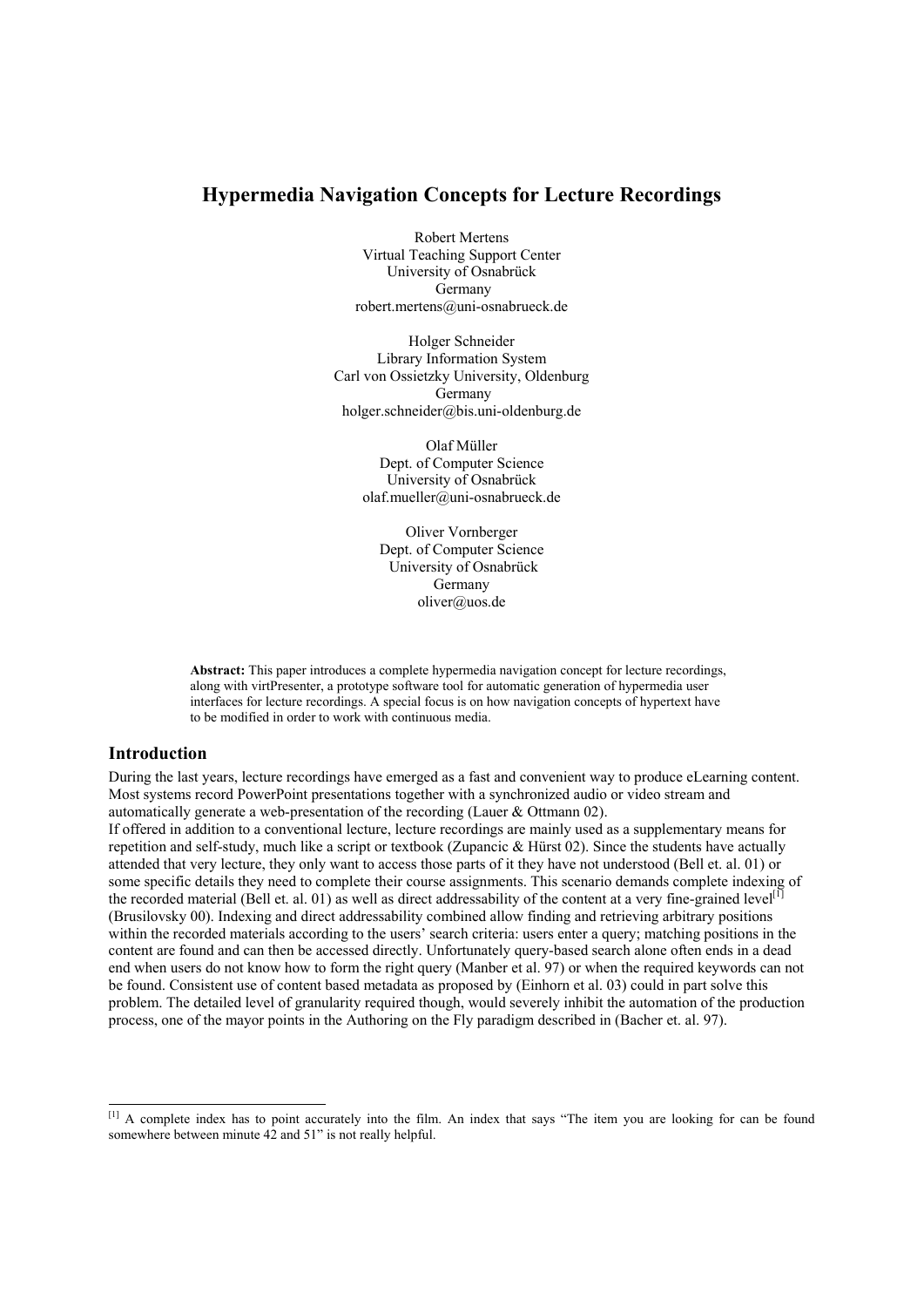# **Hypermedia Navigation Concepts for Lecture Recordings**

Robert Mertens Virtual Teaching Support Center University of Osnabrück Germany robert.mertens@uni-osnabrueck.de

Holger Schneider Library Information System Carl von Ossietzky University, Oldenburg Germany holger.schneider@bis.uni-oldenburg.de

> Olaf Müller Dept. of Computer Science University of Osnabrück olaf.mueller@uni-osnabrueck.de

Oliver Vornberger Dept. of Computer Science University of Osnabrück Germany oliver@uos.de

**Abstract:** This paper introduces a complete hypermedia navigation concept for lecture recordings, along with virtPresenter, a prototype software tool for automatic generation of hypermedia user interfaces for lecture recordings. A special focus is on how navigation concepts of hypertext have to be modified in order to work with continuous media.

## **Introduction**

1

During the last years, lecture recordings have emerged as a fast and convenient way to produce eLearning content. Most systems record PowerPoint presentations together with a synchronized audio or video stream and automatically generate a web-presentation of the recording (Lauer & Ottmann 02).

If offered in addition to a conventional lecture, lecture recordings are mainly used as a supplementary means for repetition and self-study, much like a script or textbook (Zupancic & Hürst 02). Since the students have actually attended that very lecture, they only want to access those parts of it they have not understood (Bell et. al. 01) or some specific details they need to complete their course assignments. This scenario demands complete indexing of the recorded material (Bell et. al. 01) as well as direct addressability of the content at a very fine-grained level<sup>[1</sup>] (Brusilovsky 00). Indexing and direct addressability combined allow finding and retrieving arbitrary positions within the recorded materials according to the users' search criteria: users enter a query; matching positions in the content are found and can then be accessed directly. Unfortunately query-based search alone often ends in a dead end when users do not know how to form the right query (Manber et al. 97) or when the required keywords can not be found. Consistent use of content based metadata as proposed by (Einhorn et al. 03) could in part solve this problem. The detailed level of granularity required though, would severely inhibit the automation of the production process, one of the mayor points in the Authoring on the Fly paradigm described in (Bacher et. al. 97).

<sup>&</sup>lt;sup>[1]</sup> A complete index has to point accurately into the film. An index that says "The item you are looking for can be found somewhere between minute  $42$  and  $51$ " is not really helpful.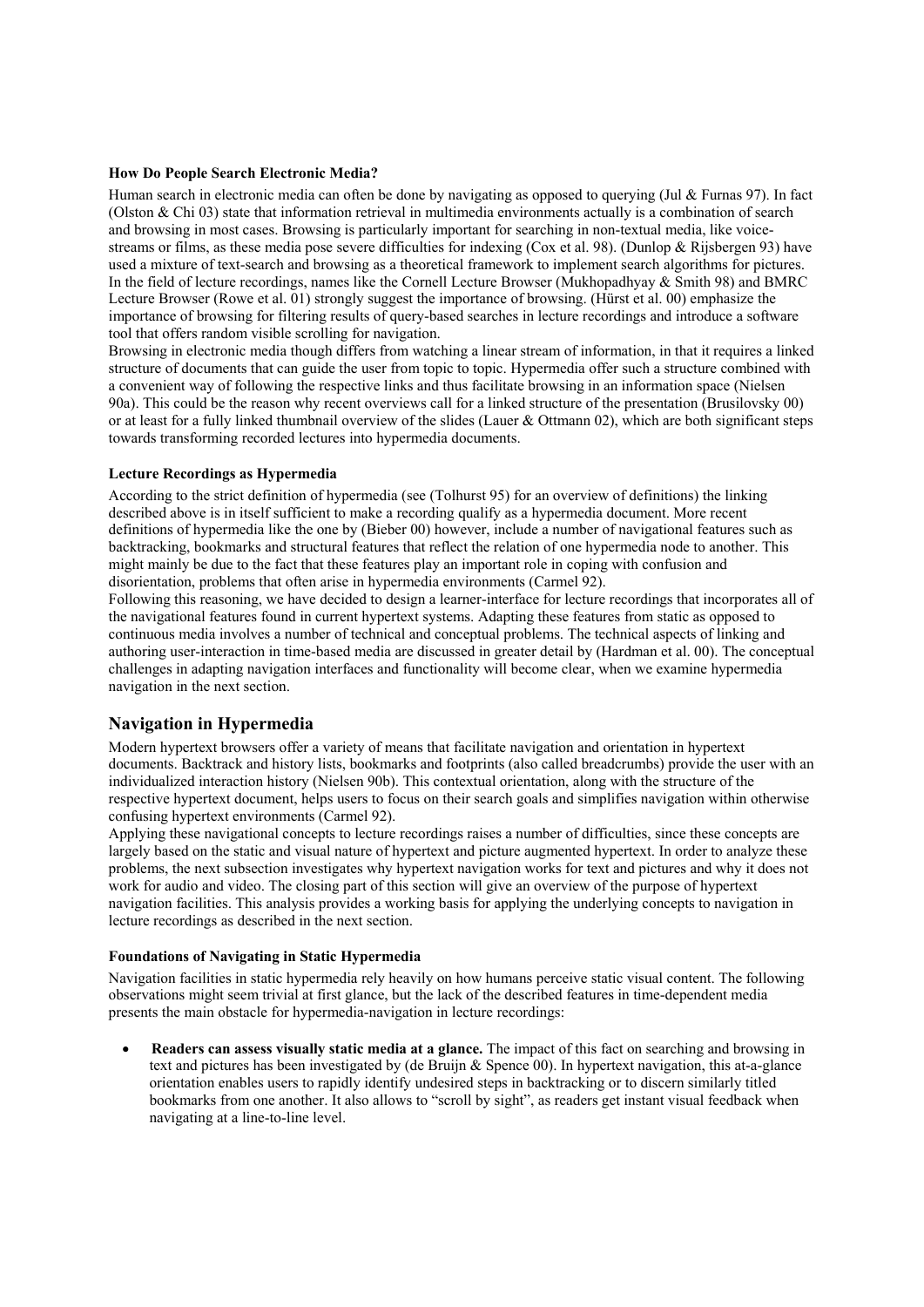### **How Do People Search Electronic Media?**

Human search in electronic media can often be done by navigating as opposed to querying (Jul & Furnas 97). In fact (Olston  $\&$  Chi 03) state that information retrieval in multimedia environments actually is a combination of search and browsing in most cases. Browsing is particularly important for searching in non-textual media, like voicestreams or films, as these media pose severe difficulties for indexing (Cox et al. 98). (Dunlop & Rijsbergen 93) have used a mixture of text-search and browsing as a theoretical framework to implement search algorithms for pictures. In the field of lecture recordings, names like the Cornell Lecture Browser (Mukhopadhyay & Smith 98) and BMRC Lecture Browser (Rowe et al. 01) strongly suggest the importance of browsing. (Hürst et al. 00) emphasize the importance of browsing for filtering results of query-based searches in lecture recordings and introduce a software tool that offers random visible scrolling for navigation.

Browsing in electronic media though differs from watching a linear stream of information, in that it requires a linked structure of documents that can guide the user from topic to topic. Hypermedia offer such a structure combined with a convenient way of following the respective links and thus facilitate browsing in an information space (Nielsen 90a). This could be the reason why recent overviews call for a linked structure of the presentation (Brusilovsky 00) or at least for a fully linked thumbnail overview of the slides (Lauer & Ottmann 02), which are both significant steps towards transforming recorded lectures into hypermedia documents.

#### **Lecture Recordings as Hypermedia**

According to the strict definition of hypermedia (see (Tolhurst 95) for an overview of definitions) the linking described above is in itself sufficient to make a recording qualify as a hypermedia document. More recent definitions of hypermedia like the one by (Bieber 00) however, include a number of navigational features such as backtracking, bookmarks and structural features that reflect the relation of one hypermedia node to another. This might mainly be due to the fact that these features play an important role in coping with confusion and disorientation, problems that often arise in hypermedia environments (Carmel 92).

Following this reasoning, we have decided to design a learner-interface for lecture recordings that incorporates all of the navigational features found in current hypertext systems. Adapting these features from static as opposed to continuous media involves a number of technical and conceptual problems. The technical aspects of linking and authoring user-interaction in time-based media are discussed in greater detail by (Hardman et al. 00). The conceptual challenges in adapting navigation interfaces and functionality will become clear, when we examine hypermedia navigation in the next section.

## **Navigation in Hypermedia**

Modern hypertext browsers offer a variety of means that facilitate navigation and orientation in hypertext documents. Backtrack and history lists, bookmarks and footprints (also called breadcrumbs) provide the user with an individualized interaction history (Nielsen 90b). This contextual orientation, along with the structure of the respective hypertext document, helps users to focus on their search goals and simplifies navigation within otherwise confusing hypertext environments (Carmel 92).

Applying these navigational concepts to lecture recordings raises a number of difficulties, since these concepts are largely based on the static and visual nature of hypertext and picture augmented hypertext. In order to analyze these problems, the next subsection investigates why hypertext navigation works for text and pictures and why it does not work for audio and video. The closing part of this section will give an overview of the purpose of hypertext navigation facilities. This analysis provides a working basis for applying the underlying concepts to navigation in lecture recordings as described in the next section.

#### **Foundations of Navigating in Static Hypermedia**

Navigation facilities in static hypermedia rely heavily on how humans perceive static visual content. The following observations might seem trivial at first glance, but the lack of the described features in time-dependent media presents the main obstacle for hypermedia-navigation in lecture recordings:

• **Readers can assess visually static media at a glance.** The impact of this fact on searching and browsing in text and pictures has been investigated by (de Bruijn & Spence 00). In hypertext navigation, this at-a-glance orientation enables users to rapidly identify undesired steps in backtracking or to discern similarly titled bookmarks from one another. It also allows to "scroll by sight", as readers get instant visual feedback when navigating at a line-to-line level.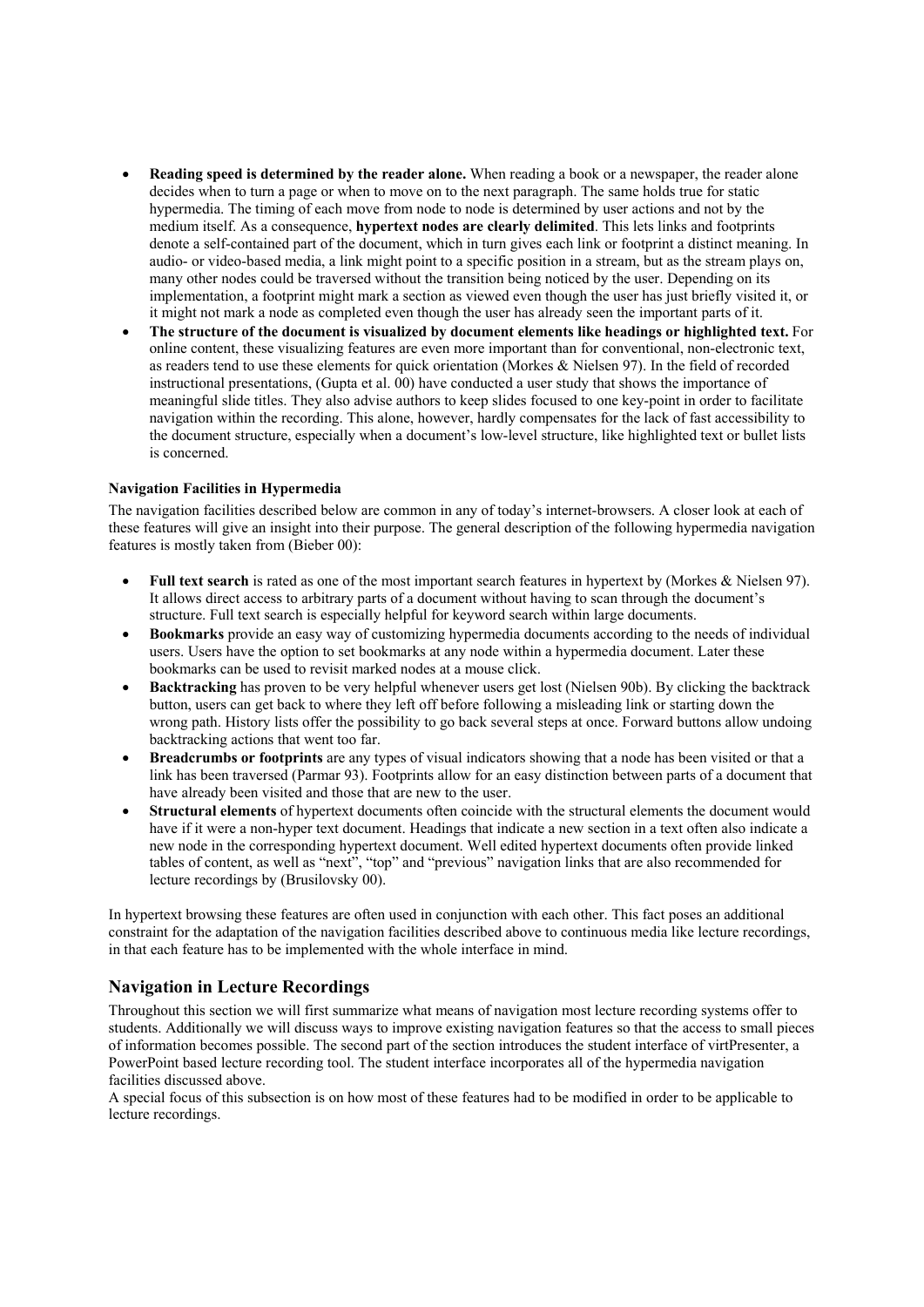- **Reading speed is determined by the reader alone.** When reading a book or a newspaper, the reader alone decides when to turn a page or when to move on to the next paragraph. The same holds true for static hypermedia. The timing of each move from node to node is determined by user actions and not by the medium itself. As a consequence, **hypertext nodes are clearly delimited**. This lets links and footprints denote a self-contained part of the document, which in turn gives each link or footprint a distinct meaning. In audio- or video-based media, a link might point to a specific position in a stream, but as the stream plays on, many other nodes could be traversed without the transition being noticed by the user. Depending on its implementation, a footprint might mark a section as viewed even though the user has just briefly visited it, or it might not mark a node as completed even though the user has already seen the important parts of it.
- **The structure of the document is visualized by document elements like headings or highlighted text.** For online content, these visualizing features are even more important than for conventional, non-electronic text, as readers tend to use these elements for quick orientation (Morkes & Nielsen 97). In the field of recorded instructional presentations, (Gupta et al. 00) have conducted a user study that shows the importance of meaningful slide titles. They also advise authors to keep slides focused to one key-point in order to facilitate navigation within the recording. This alone, however, hardly compensates for the lack of fast accessibility to the document structure, especially when a document's low-level structure, like highlighted text or bullet lists is concerned.

### **Navigation Facilities in Hypermedia**

The navigation facilities described below are common in any of today's internet-browsers. A closer look at each of these features will give an insight into their purpose. The general description of the following hypermedia navigation features is mostly taken from (Bieber 00):

- **Full text search** is rated as one of the most important search features in hypertext by (Morkes & Nielsen 97). It allows direct access to arbitrary parts of a document without having to scan through the document's structure. Full text search is especially helpful for keyword search within large documents.
- **Bookmarks** provide an easy way of customizing hypermedia documents according to the needs of individual users. Users have the option to set bookmarks at any node within a hypermedia document. Later these bookmarks can be used to revisit marked nodes at a mouse click.
- **Backtracking** has proven to be very helpful whenever users get lost (Nielsen 90b). By clicking the backtrack button, users can get back to where they left off before following a misleading link or starting down the wrong path. History lists offer the possibility to go back several steps at once. Forward buttons allow undoing backtracking actions that went too far.
- **Breadcrumbs or footprints** are any types of visual indicators showing that a node has been visited or that a link has been traversed (Parmar 93). Footprints allow for an easy distinction between parts of a document that have already been visited and those that are new to the user.
- **Structural elements** of hypertext documents often coincide with the structural elements the document would have if it were a non-hyper text document. Headings that indicate a new section in a text often also indicate a new node in the corresponding hypertext document. Well edited hypertext documents often provide linked tables of content, as well as "next", "top" and "previous" navigation links that are also recommended for lecture recordings by (Brusilovsky 00).

In hypertext browsing these features are often used in conjunction with each other. This fact poses an additional constraint for the adaptation of the navigation facilities described above to continuous media like lecture recordings, in that each feature has to be implemented with the whole interface in mind.

## **Navigation in Lecture Recordings**

Throughout this section we will first summarize what means of navigation most lecture recording systems offer to students. Additionally we will discuss ways to improve existing navigation features so that the access to small pieces of information becomes possible. The second part of the section introduces the student interface of virtPresenter, a PowerPoint based lecture recording tool. The student interface incorporates all of the hypermedia navigation facilities discussed above.

A special focus of this subsection is on how most of these features had to be modified in order to be applicable to lecture recordings.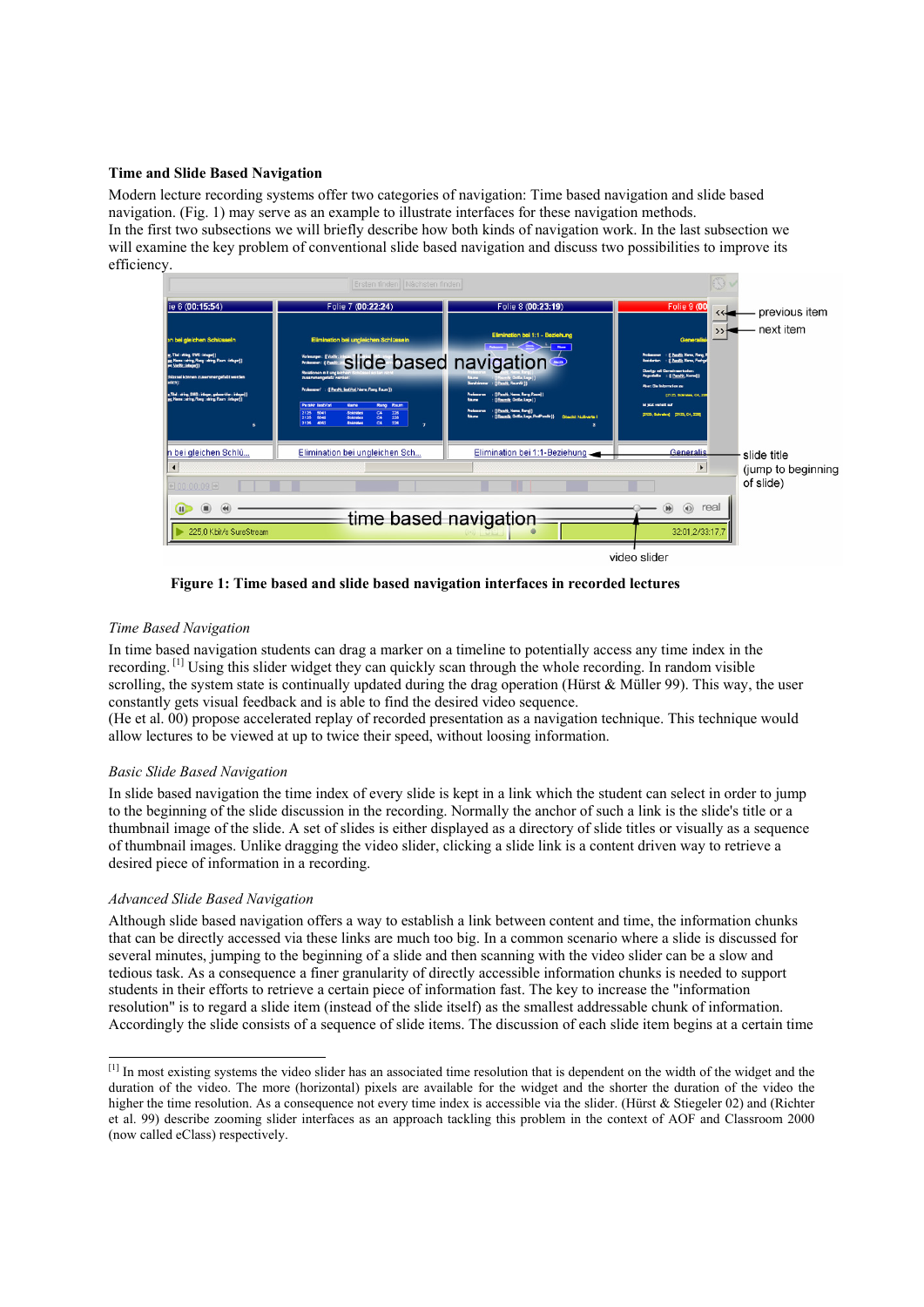### **Time and Slide Based Navigation**

Modern lecture recording systems offer two categories of navigation: Time based navigation and slide based navigation. (Fig. 1) may serve as an example to illustrate interfaces for these navigation methods. In the first two subsections we will briefly describe how both kinds of navigation work. In the last subsection we will examine the key problem of conventional slide based navigation and discuss two possibilities to improve its efficiency.



 **Figure 1: Time based and slide based navigation interfaces in recorded lectures** 

### *Time Based Navigation*

In time based navigation students can drag a marker on a timeline to potentially access any time index in the recording. [1] Using this slider widget they can quickly scan through the whole recording. In random visible scrolling, the system state is continually updated during the drag operation (Hürst & Müller 99). This way, the user constantly gets visual feedback and is able to find the desired video sequence.

(He et al. 00) propose accelerated replay of recorded presentation as a navigation technique. This technique would allow lectures to be viewed at up to twice their speed, without loosing information.

#### *Basic Slide Based Navigation*

In slide based navigation the time index of every slide is kept in a link which the student can select in order to jump to the beginning of the slide discussion in the recording. Normally the anchor of such a link is the slide's title or a thumbnail image of the slide. A set of slides is either displayed as a directory of slide titles or visually as a sequence of thumbnail images. Unlike dragging the video slider, clicking a slide link is a content driven way to retrieve a desired piece of information in a recording.

### *Advanced Slide Based Navigation*

Although slide based navigation offers a way to establish a link between content and time, the information chunks that can be directly accessed via these links are much too big. In a common scenario where a slide is discussed for several minutes, jumping to the beginning of a slide and then scanning with the video slider can be a slow and tedious task. As a consequence a finer granularity of directly accessible information chunks is needed to support students in their efforts to retrieve a certain piece of information fast. The key to increase the "information resolution" is to regard a slide item (instead of the slide itself) as the smallest addressable chunk of information. Accordingly the slide consists of a sequence of slide items. The discussion of each slide item begins at a certain time

 $\overline{a}$  $[1]$  In most existing systems the video slider has an associated time resolution that is dependent on the width of the widget and the duration of the video. The more (horizontal) pixels are available for the widget and the shorter the duration of the video the higher the time resolution. As a consequence not every time index is accessible via the slider. (Hürst & Stiegeler 02) and (Richter et al. 99) describe zooming slider interfaces as an approach tackling this problem in the context of AOF and Classroom 2000 (now called eClass) respectively.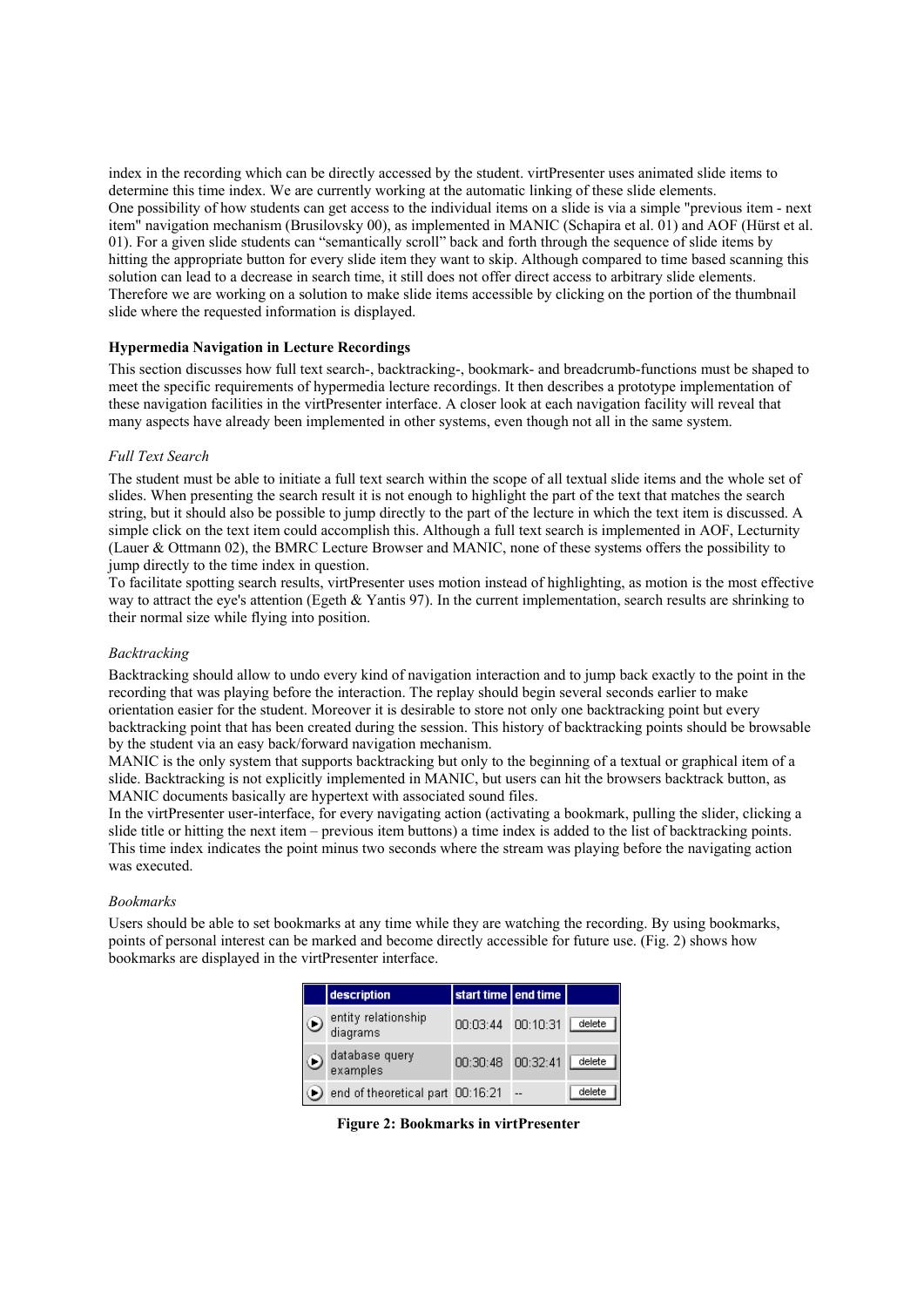index in the recording which can be directly accessed by the student. virtPresenter uses animated slide items to determine this time index. We are currently working at the automatic linking of these slide elements. One possibility of how students can get access to the individual items on a slide is via a simple "previous item - next item" navigation mechanism (Brusilovsky 00), as implemented in MANIC (Schapira et al. 01) and AOF (Hürst et al. 01). For a given slide students can "semantically scroll" back and forth through the sequence of slide items by hitting the appropriate button for every slide item they want to skip. Although compared to time based scanning this solution can lead to a decrease in search time, it still does not offer direct access to arbitrary slide elements. Therefore we are working on a solution to make slide items accessible by clicking on the portion of the thumbnail slide where the requested information is displayed.

### **Hypermedia Navigation in Lecture Recordings**

This section discusses how full text search-, backtracking-, bookmark- and breadcrumb-functions must be shaped to meet the specific requirements of hypermedia lecture recordings. It then describes a prototype implementation of these navigation facilities in the virtPresenter interface. A closer look at each navigation facility will reveal that many aspects have already been implemented in other systems, even though not all in the same system.

### *Full Text Search*

The student must be able to initiate a full text search within the scope of all textual slide items and the whole set of slides. When presenting the search result it is not enough to highlight the part of the text that matches the search string, but it should also be possible to jump directly to the part of the lecture in which the text item is discussed. A simple click on the text item could accomplish this. Although a full text search is implemented in AOF, Lecturnity (Lauer & Ottmann 02), the BMRC Lecture Browser and MANIC, none of these systems offers the possibility to jump directly to the time index in question.

To facilitate spotting search results, virtPresenter uses motion instead of highlighting, as motion is the most effective way to attract the eye's attention (Egeth & Yantis 97). In the current implementation, search results are shrinking to their normal size while flying into position.

### *Backtracking*

Backtracking should allow to undo every kind of navigation interaction and to jump back exactly to the point in the recording that was playing before the interaction. The replay should begin several seconds earlier to make orientation easier for the student. Moreover it is desirable to store not only one backtracking point but every backtracking point that has been created during the session. This history of backtracking points should be browsable by the student via an easy back/forward navigation mechanism.

MANIC is the only system that supports backtracking but only to the beginning of a textual or graphical item of a slide. Backtracking is not explicitly implemented in MANIC, but users can hit the browsers backtrack button, as MANIC documents basically are hypertext with associated sound files.

In the virtPresenter user-interface, for every navigating action (activating a bookmark, pulling the slider, clicking a slide title or hitting the next item – previous item buttons) a time index is added to the list of backtracking points. This time index indicates the point minus two seconds where the stream was playing before the navigating action was executed.

#### *Bookmarks*

Users should be able to set bookmarks at any time while they are watching the recording. By using bookmarks, points of personal interest can be marked and become directly accessible for future use. (Fig. 2) shows how bookmarks are displayed in the virtPresenter interface.

|         | description                      | start time end time |        |
|---------|----------------------------------|---------------------|--------|
| $\odot$ | entity relationship<br>diagrams  | 00:03:44 00:10:31   | delete |
| $\odot$ | database query<br>examples       | 00:30:48 00:32:41   | delete |
|         | end of theoretical part 00:16:21 |                     | delete |

 **Figure 2: Bookmarks in virtPresenter**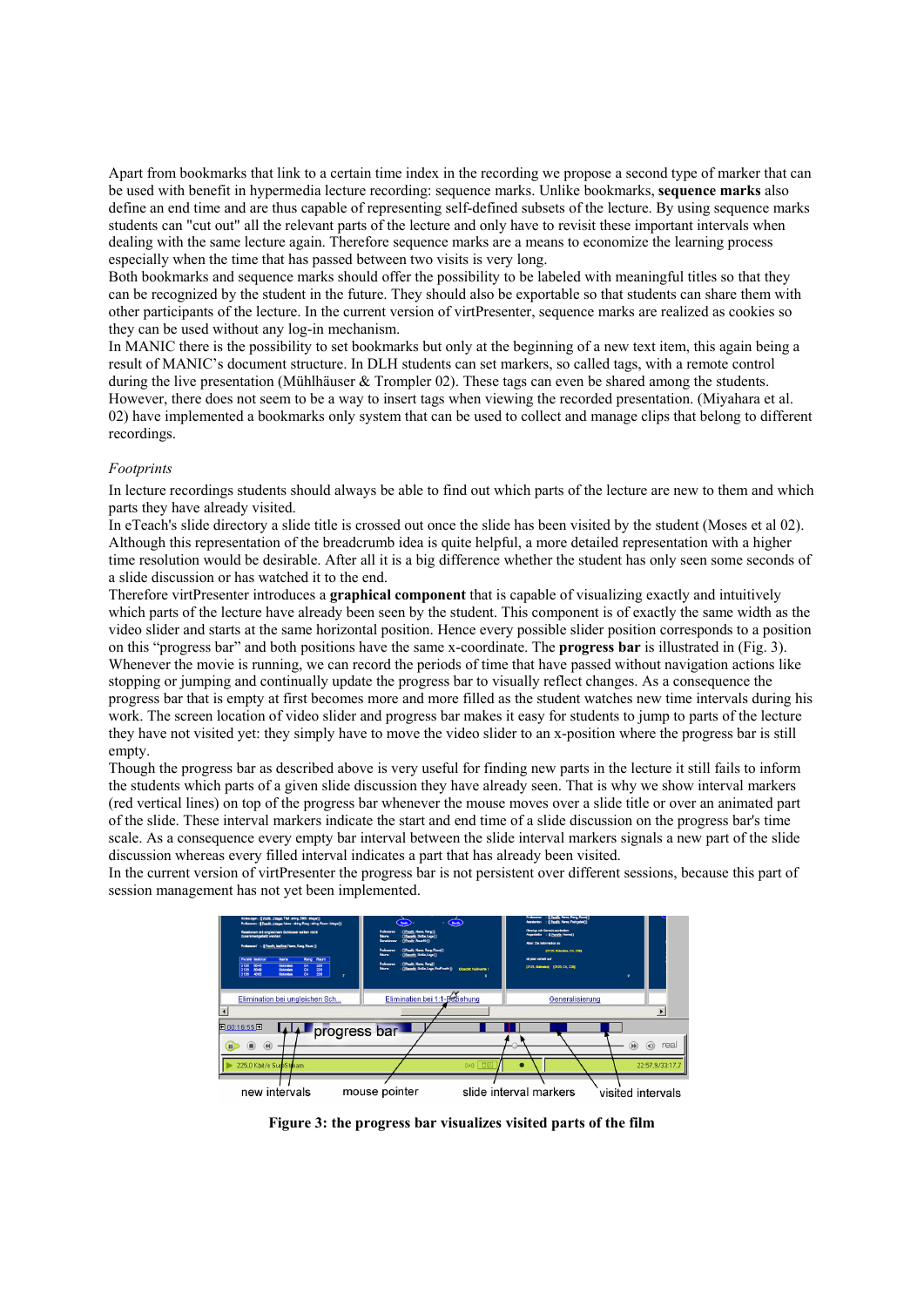Apart from bookmarks that link to a certain time index in the recording we propose a second type of marker that can be used with benefit in hypermedia lecture recording: sequence marks. Unlike bookmarks, **sequence marks** also define an end time and are thus capable of representing self-defined subsets of the lecture. By using sequence marks students can "cut out" all the relevant parts of the lecture and only have to revisit these important intervals when dealing with the same lecture again. Therefore sequence marks are a means to economize the learning process especially when the time that has passed between two visits is very long.

Both bookmarks and sequence marks should offer the possibility to be labeled with meaningful titles so that they can be recognized by the student in the future. They should also be exportable so that students can share them with other participants of the lecture. In the current version of virtPresenter, sequence marks are realized as cookies so they can be used without any log-in mechanism.

In MANIC there is the possibility to set bookmarks but only at the beginning of a new text item, this again being a result of MANIC's document structure. In DLH students can set markers, so called tags, with a remote control during the live presentation (Mühlhäuser & Trompler 02). These tags can even be shared among the students. However, there does not seem to be a way to insert tags when viewing the recorded presentation. (Miyahara et al. 02) have implemented a bookmarks only system that can be used to collect and manage clips that belong to different recordings.

#### *Footprints*

In lecture recordings students should always be able to find out which parts of the lecture are new to them and which parts they have already visited.

In eTeach's slide directory a slide title is crossed out once the slide has been visited by the student (Moses et al 02). Although this representation of the breadcrumb idea is quite helpful, a more detailed representation with a higher time resolution would be desirable. After all it is a big difference whether the student has only seen some seconds of a slide discussion or has watched it to the end.

Therefore virtPresenter introduces a **graphical component** that is capable of visualizing exactly and intuitively which parts of the lecture have already been seen by the student. This component is of exactly the same width as the video slider and starts at the same horizontal position. Hence every possible slider position corresponds to a position on this "progress bar" and both positions have the same x-coordinate. The **progress bar** is illustrated in (Fig. 3). Whenever the movie is running, we can record the periods of time that have passed without navigation actions like stopping or jumping and continually update the progress bar to visually reflect changes. As a consequence the progress bar that is empty at first becomes more and more filled as the student watches new time intervals during his work. The screen location of video slider and progress bar makes it easy for students to jump to parts of the lecture they have not visited yet: they simply have to move the video slider to an x-position where the progress bar is still empty.

Though the progress bar as described above is very useful for finding new parts in the lecture it still fails to inform the students which parts of a given slide discussion they have already seen. That is why we show interval markers (red vertical lines) on top of the progress bar whenever the mouse moves over a slide title or over an animated part of the slide. These interval markers indicate the start and end time of a slide discussion on the progress bar's time scale. As a consequence every empty bar interval between the slide interval markers signals a new part of the slide discussion whereas every filled interval indicates a part that has already been visited.

In the current version of virtPresenter the progress bar is not persistent over different sessions, because this part of session management has not yet been implemented.



**Figure 3: the progress bar visualizes visited parts of the film**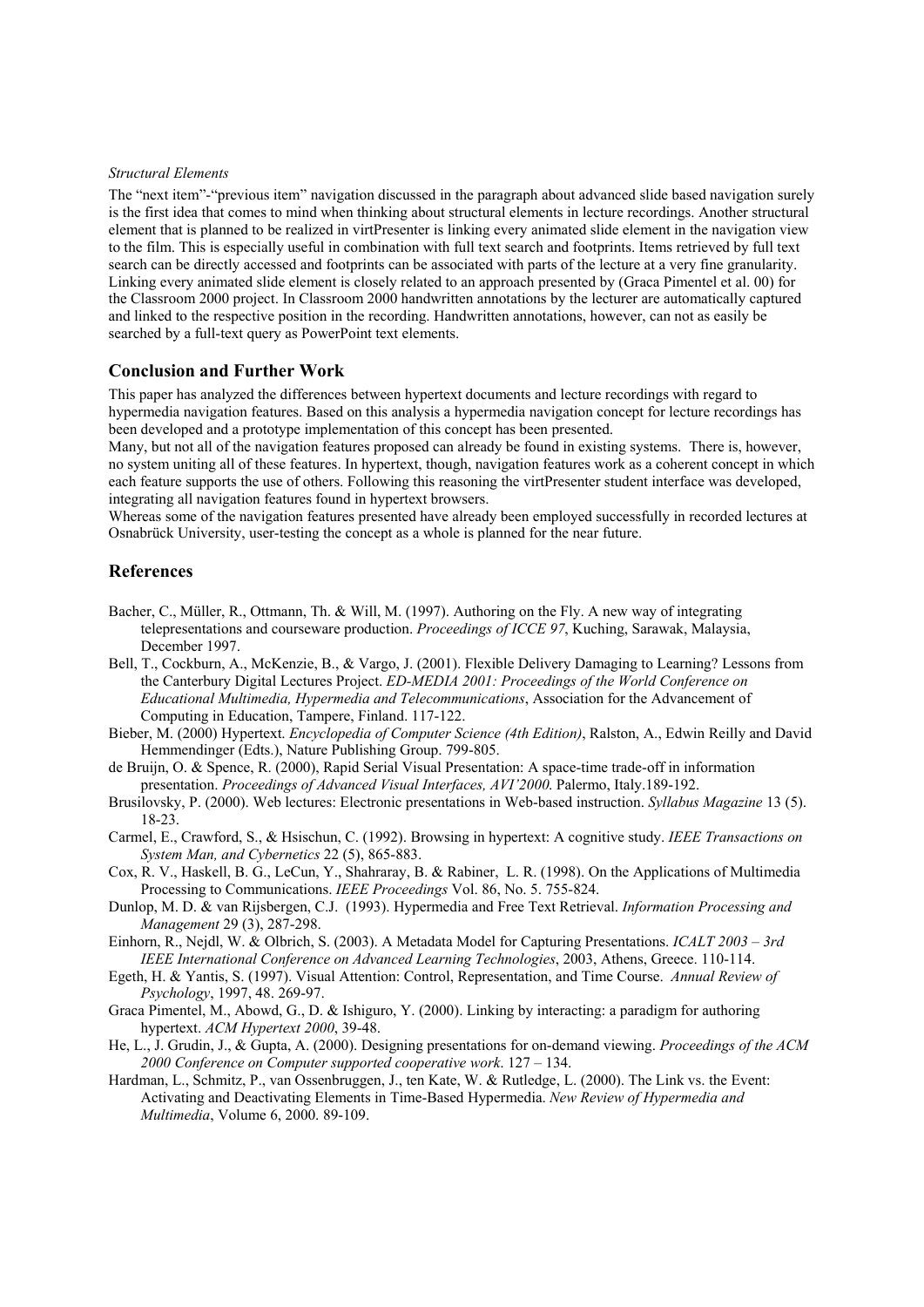#### *Structural Elements*

The "next item"-"previous item" navigation discussed in the paragraph about advanced slide based navigation surely is the first idea that comes to mind when thinking about structural elements in lecture recordings. Another structural element that is planned to be realized in virtPresenter is linking every animated slide element in the navigation view to the film. This is especially useful in combination with full text search and footprints. Items retrieved by full text search can be directly accessed and footprints can be associated with parts of the lecture at a very fine granularity. Linking every animated slide element is closely related to an approach presented by (Graca Pimentel et al. 00) for the Classroom 2000 project. In Classroom 2000 handwritten annotations by the lecturer are automatically captured and linked to the respective position in the recording. Handwritten annotations, however, can not as easily be searched by a full-text query as PowerPoint text elements.

### **Conclusion and Further Work**

This paper has analyzed the differences between hypertext documents and lecture recordings with regard to hypermedia navigation features. Based on this analysis a hypermedia navigation concept for lecture recordings has been developed and a prototype implementation of this concept has been presented.

Many, but not all of the navigation features proposed can already be found in existing systems. There is, however, no system uniting all of these features. In hypertext, though, navigation features work as a coherent concept in which each feature supports the use of others. Following this reasoning the virtPresenter student interface was developed, integrating all navigation features found in hypertext browsers.

Whereas some of the navigation features presented have already been employed successfully in recorded lectures at Osnabrück University, user-testing the concept as a whole is planned for the near future.

## **References**

- Bacher, C., Müller, R., Ottmann, Th. & Will, M. (1997). Authoring on the Fly. A new way of integrating telepresentations and courseware production. *Proceedings of ICCE 97*, Kuching, Sarawak, Malaysia, December 1997.
- Bell, T., Cockburn, A., McKenzie, B., & Vargo, J. (2001). Flexible Delivery Damaging to Learning? Lessons from the Canterbury Digital Lectures Project. *ED-MEDIA 2001: Proceedings of the World Conference on Educational Multimedia, Hypermedia and Telecommunications*, Association for the Advancement of Computing in Education, Tampere, Finland. 117-122.
- Bieber, M. (2000) Hypertext. *Encyclopedia of Computer Science (4th Edition)*, Ralston, A., Edwin Reilly and David Hemmendinger (Edts.), Nature Publishing Group. 799-805.
- de Bruijn, O. & Spence, R. (2000), Rapid Serial Visual Presentation: A space-time trade-off in information presentation. *Proceedings of Advanced Visual Interfaces, AVI'2000*. Palermo, Italy.189-192.
- Brusilovsky, P. (2000). Web lectures: Electronic presentations in Web-based instruction. *Syllabus Magazine* 13 (5). 18-23.
- Carmel, E., Crawford, S., & Hsischun, C. (1992). Browsing in hypertext: A cognitive study. *IEEE Transactions on System Man, and Cybernetics* 22 (5), 865-883.
- Cox, R. V., Haskell, B. G., LeCun, Y., Shahraray, B. & Rabiner, L. R. (1998). On the Applications of Multimedia Processing to Communications. *IEEE Proceedings* Vol. 86, No. 5. 755-824.
- Dunlop, M. D. & van Rijsbergen, C.J. (1993). Hypermedia and Free Text Retrieval. *Information Processing and Management* 29 (3), 287-298.
- Einhorn, R., Nejdl, W. & Olbrich, S. (2003). A Metadata Model for Capturing Presentations. *ICALT 2003 3rd IEEE International Conference on Advanced Learning Technologies*, 2003, Athens, Greece. 110-114.
- Egeth, H. & Yantis, S. (1997). Visual Attention: Control, Representation, and Time Course. *Annual Review of Psychology*, 1997, 48. 269-97.
- Graca Pimentel, M., Abowd, G., D. & Ishiguro, Y. (2000). Linking by interacting: a paradigm for authoring hypertext. *ACM Hypertext 2000*, 39-48.
- He, L., J. Grudin, J., & Gupta, A. (2000). Designing presentations for on-demand viewing. *Proceedings of the ACM 2000 Conference on Computer supported cooperative work*. 127 – 134.
- Hardman, L., Schmitz, P., van Ossenbruggen, J., ten Kate, W. & Rutledge, L. (2000). The Link vs. the Event: Activating and Deactivating Elements in Time-Based Hypermedia. *New Review of Hypermedia and Multimedia*, Volume 6, 2000. 89-109.